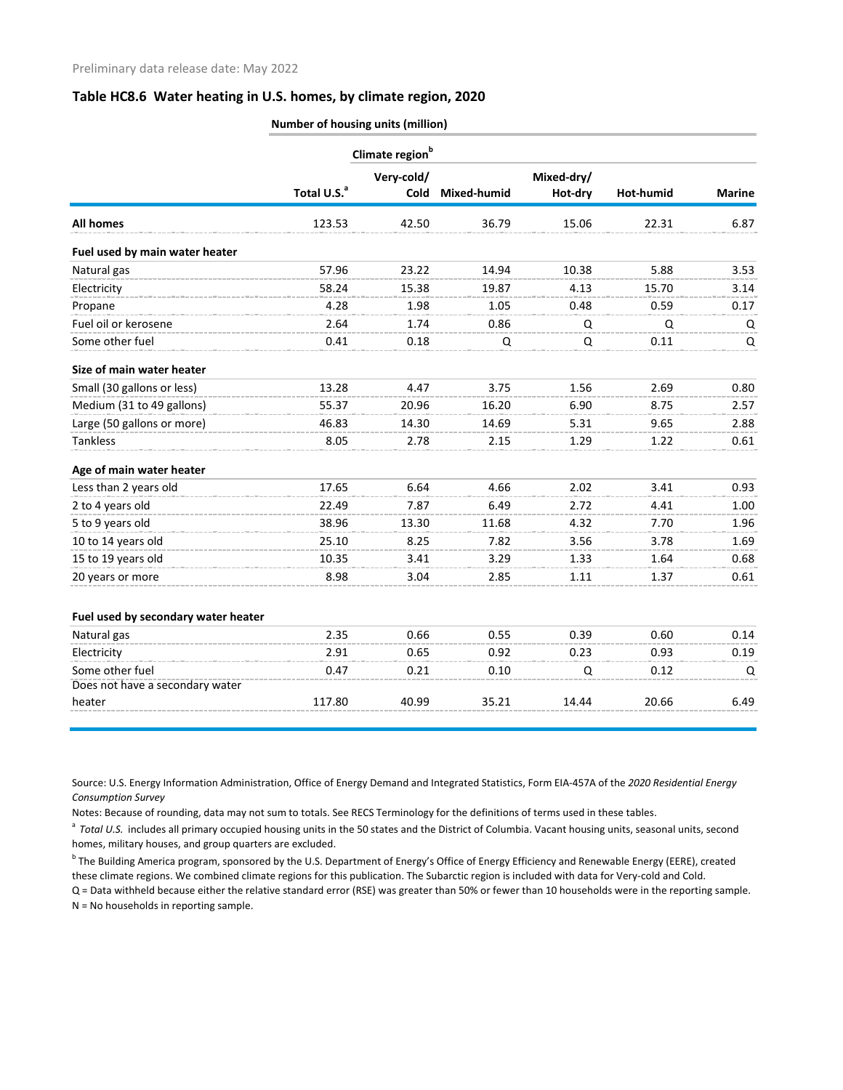## **Table HC8.6 Water heating in U.S. homes, by climate region, 2020**

|                                     | Number of housing units (million) |            |             |            |           |               |  |  |  |  |
|-------------------------------------|-----------------------------------|------------|-------------|------------|-----------|---------------|--|--|--|--|
|                                     | Climate region <sup>b</sup>       |            |             |            |           |               |  |  |  |  |
|                                     |                                   | Very-cold/ |             | Mixed-dry/ |           |               |  |  |  |  |
|                                     | Total U.S. <sup>a</sup>           | Cold       | Mixed-humid | Hot-dry    | Hot-humid | <b>Marine</b> |  |  |  |  |
| <b>All homes</b>                    | 123.53                            | 42.50      | 36.79       | 15.06      | 22.31     | 6.87          |  |  |  |  |
| Fuel used by main water heater      |                                   |            |             |            |           |               |  |  |  |  |
| Natural gas                         | 57.96                             | 23.22      | 14.94       | 10.38      | 5.88      | 3.53          |  |  |  |  |
| Electricity                         | 58.24                             | 15.38      | 19.87       | 4.13       | 15.70     | 3.14          |  |  |  |  |
| Propane                             | 4.28                              | 1.98       | 1.05        | 0.48       | 0.59      | 0.17          |  |  |  |  |
| Fuel oil or kerosene                | 2.64                              | 1.74       | 0.86        | Q          | Q         | Q             |  |  |  |  |
| Some other fuel                     | 0.41                              | 0.18       | Q           | Q          | 0.11      | Q             |  |  |  |  |
| Size of main water heater           |                                   |            |             |            |           |               |  |  |  |  |
| Small (30 gallons or less)          | 13.28                             | 4.47       | 3.75        | 1.56       | 2.69      | 0.80          |  |  |  |  |
| Medium (31 to 49 gallons)           | 55.37                             | 20.96      | 16.20       | 6.90       | 8.75      | 2.57          |  |  |  |  |
| Large (50 gallons or more)          | 46.83                             | 14.30      | 14.69       | 5.31       | 9.65      | 2.88          |  |  |  |  |
| <b>Tankless</b>                     | 8.05                              | 2.78       | 2.15        | 1.29       | 1.22      | 0.61          |  |  |  |  |
| Age of main water heater            |                                   |            |             |            |           |               |  |  |  |  |
| Less than 2 years old               | 17.65                             | 6.64       | 4.66        | 2.02       | 3.41      | 0.93          |  |  |  |  |
| 2 to 4 years old                    | 22.49                             | 7.87       | 6.49        | 2.72       | 4.41      | 1.00          |  |  |  |  |
| 5 to 9 years old                    | 38.96                             | 13.30      | 11.68       | 4.32       | 7.70      | 1.96          |  |  |  |  |
| 10 to 14 years old                  | 25.10                             | 8.25       | 7.82        | 3.56       | 3.78      | 1.69          |  |  |  |  |
| 15 to 19 years old                  | 10.35                             | 3.41       | 3.29        | 1.33       | 1.64      | 0.68          |  |  |  |  |
| 20 years or more                    | 8.98                              | 3.04       | 2.85        | 1.11       | 1.37      | 0.61          |  |  |  |  |
| Fuel used by secondary water heater |                                   |            |             |            |           |               |  |  |  |  |
| Natural gas                         | 2.35                              | 0.66       | 0.55        | 0.39       | 0.60      | 0.14          |  |  |  |  |
| Electricity                         | 2.91                              | 0.65       | 0.92        | 0.23       | 0.93      | 0.19          |  |  |  |  |
| Some other fuel                     | 0.47                              | 0.21       | 0.10        | Q          | 0.12      | Q             |  |  |  |  |
| Does not have a secondary water     |                                   |            |             |            |           |               |  |  |  |  |
| heater                              | 117.80                            | 40.99      | 35.21       | 14.44      | 20.66     | 6.49          |  |  |  |  |
|                                     |                                   |            |             |            |           |               |  |  |  |  |

Source: U.S. Energy Information Administration, Office of Energy Demand and Integrated Statistics, Form EIA-457A of the *2020 Residential Energy Consumption Survey*

Notes: Because of rounding, data may not sum to totals. See RECS Terminology for the definitions of terms used in these tables.

<sup>a</sup> Total U.S. includes all primary occupied housing units in the 50 states and the District of Columbia. Vacant housing units, seasonal units, second homes, military houses, and group quarters are excluded.

<sup>b</sup> The Building America program, sponsored by the U.S. Department of Energy's Office of Energy Efficiency and Renewable Energy (EERE), created these climate regions. We combined climate regions for this publication. The Subarctic region is included with data for Very-cold and Cold.

Q = Data withheld because either the relative standard error (RSE) was greater than 50% or fewer than 10 households were in the reporting sample. N = No households in reporting sample.